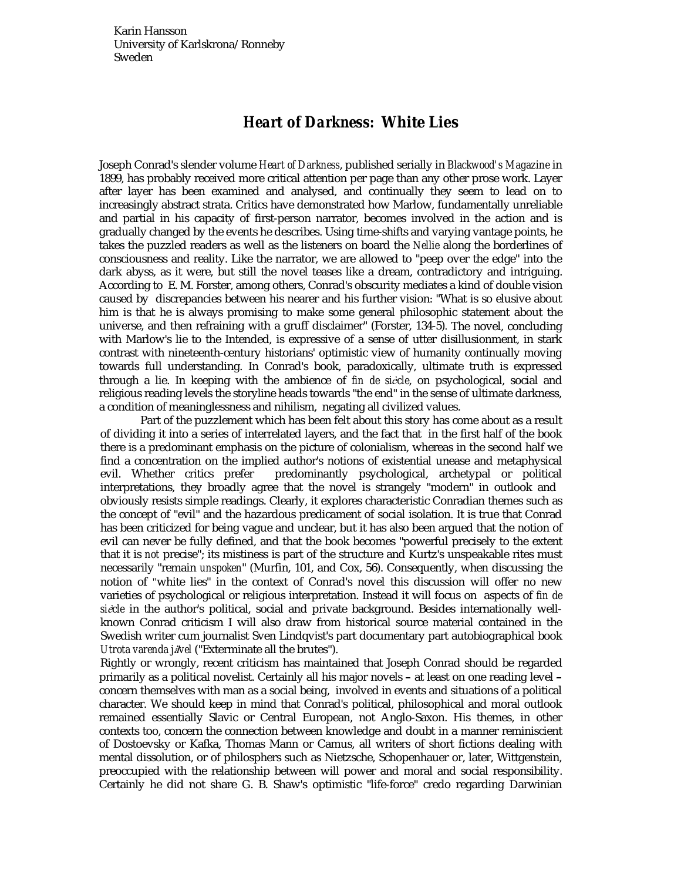Karin Hansson University of Karlskrona/Ronneby Sweden

## *Heart of Darkness:* **White Lies**

Joseph Conrad's slender volume *Heart of Darkness*, published serially in *Blackwood's Magazine* in 1899, has probably received more critical attention per page than any other prose work. Layer after layer has been examined and analysed, and continually they seem to lead on to increasingly abstract strata. Critics have demonstrated how Marlow, fundamentally unreliable and partial in his capacity of first-person narrator, becomes involved in the action and is gradually changed by the events he describes. Using time-shifts and varying vantage points, he takes the puzzled readers as well as the listeners on board the *Nellie* along the borderlines of consciousness and reality. Like the narrator, we are allowed to "peep over the edge" into the dark abyss, as it were, but still the novel teases like a dream, contradictory and intriguing. According to E. M. Forster, among others, Conrad's obscurity mediates a kind of double vision caused by discrepancies between his nearer and his further vision: "What is so elusive about him is that he is always promising to make some general philosophic statement about the universe, and then refraining with a gruff disclaimer" (Forster, 134-5). The novel, concluding with Marlow's lie to the Intended, is expressive of a sense of utter disillusionment, in stark contrast with nineteenth-century historians' optimistic view of humanity continually moving towards full understanding. In Conrad's book, paradoxically, ultimate truth is expressed through a lie. In keeping with the ambience of *fin de siècle*, on psychological, social and religious reading levels the storyline heads towards "the end" in the sense of ultimate darkness, a condition of meaninglessness and nihilism, negating all civilized values.

Part of the puzzlement which has been felt about this story has come about as a result of dividing it into a series of interrelated layers, and the fact that in the first half of the book there is a predominant emphasis on the picture of colonialism, whereas in the second half we find a concentration on the implied author's notions of existential unease and metaphysical evil. Whether critics prefer predominantly psychological, archetypal or political interpretations, they broadly agree that the novel is strangely "modern" in outlook and obviously resists simple readings. Clearly, it explores characteristic Conradian themes such as the concept of "evil" and the hazardous predicament of social isolation. It is true that Conrad has been criticized for being vague and unclear, but it has also been argued that the notion of evil can never be fully defined, and that the book becomes "powerful precisely to the extent that it is *not* precise"; its mistiness is part of the structure and Kurtz's unspeakable rites must necessarily "remain *unspoken*" (Murfin, 101, and Cox, 56). Consequently, when discussing the notion of "white lies" in the context of Conrad's novel this discussion will offer no new varieties of psychological or religious interpretation. Instead it will focus on aspects of *fin de* siècle in the author's political, social and private background. Besides internationally wellknown Conrad criticism I will also draw from historical source material contained in the Swedish writer cum journalist Sven Lindqvist's part documentary part autobiographical book *Utrota varenda jävel* ("Exterminate all the brutes").

Rightly or wrongly, recent criticism has maintained that Joseph Conrad should be regarded primarily as a political novelist. Certainly all his major novels - at least on one reading level concern themselves with man as a social being, involved in events and situations of a political character. We should keep in mind that Conrad's political, philosophical and moral outlook remained essentially Slavic or Central European, not Anglo-Saxon. His themes, in other contexts too, concern the connection between knowledge and doubt in a manner reminiscient of Dostoevsky or Kafka, Thomas Mann or Camus, all writers of short fictions dealing with mental dissolution, or of philosphers such as Nietzsche, Schopenhauer or, later, Wittgenstein, preoccupied with the relationship between will power and moral and social responsibility. Certainly he did not share G. B. Shaw's optimistic "life-force" credo regarding Darwinian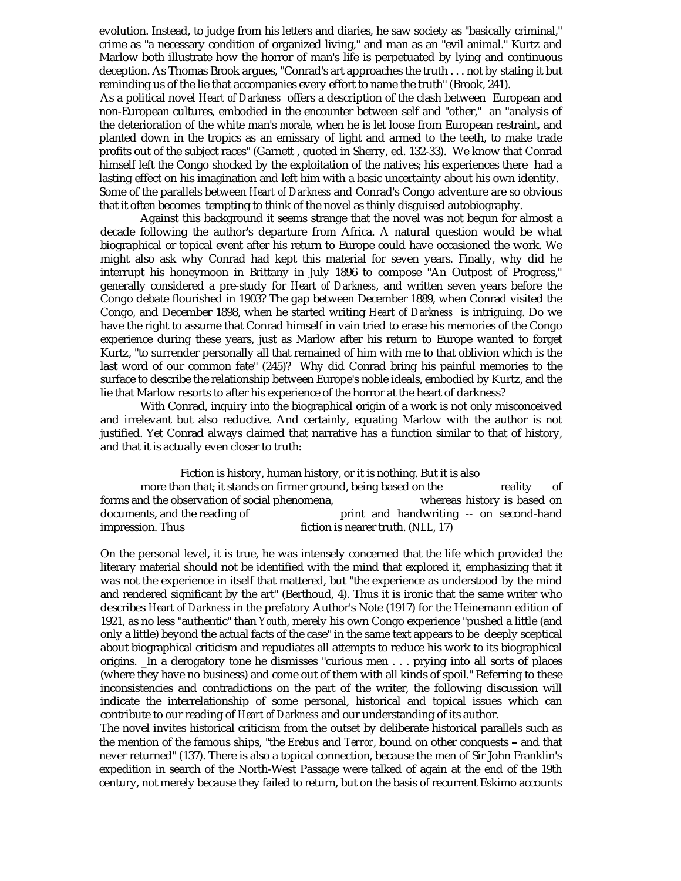evolution. Instead, to judge from his letters and diaries, he saw society as "basically criminal," crime as "a necessary condition of organized living," and man as an "evil animal." Kurtz and Marlow both illustrate how the horror of man's life is perpetuated by lying and continuous deception. As Thomas Brook argues, "Conrad's art approaches the truth . . . not by stating it but reminding us of the lie that accompanies every effort to name the truth" (Brook, 241).

As a political novel *Heart of Darkness* offers a description of the clash between European and non-European cultures, embodied in the encounter between self and "other," an "analysis of the deterioration of the white man's *morale*, when he is let loose from European restraint, and planted down in the tropics as an emissary of light and armed to the teeth, to make trade profits out of the subject races" (Garnett , quoted in Sherry, ed. 132-33). We know that Conrad himself left the Congo shocked by the exploitation of the natives; his experiences there had a lasting effect on his imagination and left him with a basic uncertainty about his own identity. Some of the parallels between *Heart of Darkness* and Conrad's Congo adventure are so obvious that it often becomes tempting to think of the novel as thinly disguised autobiography.

Against this background it seems strange that the novel was not begun for almost a decade following the author's departure from Africa. A natural question would be what biographical or topical event after his return to Europe could have occasioned the work. We might also ask why Conrad had kept this material for seven years. Finally, why did he interrupt his honeymoon in Brittany in July 1896 to compose "An Outpost of Progress," generally considered a pre-study for *Heart of Darkness*, and written seven years before the Congo debate flourished in 1903? The gap between December 1889, when Conrad visited the Congo, and December 1898, when he started writing *Heart of Darkness* is intriguing. Do we have the right to assume that Conrad himself in vain tried to erase his memories of the Congo experience during these years, just as Marlow after his return to Europe wanted to forget Kurtz, "to surrender personally all that remained of him with me to that oblivion which is the last word of our common fate" (245)? Why did Conrad bring his painful memories to the surface to describe the relationship between Europe's noble ideals, embodied by Kurtz, and the lie that Marlow resorts to after his experience of the horror at the heart of darkness?

With Conrad, inquiry into the biographical origin of a work is not only misconceived and irrelevant but also reductive. And certainly, equating Marlow with the author is not justified. Yet Conrad always claimed that narrative has a function similar to that of history, and that it is actually even closer to truth:

Fiction is history, human history, or it is nothing. But it is also more than that; it stands on firmer ground, being based on the reality of forms and the observation of social phenomena,<br>documents, and the reading of print and handwriting -- on second-hand documents, and the reading of print and handwriting -- on second-hand<br>impression. Thus fiction is nearer truth. (NLL, 17) fiction is nearer truth. (*NLL*, 17)

On the personal level, it is true, he was intensely concerned that the life which provided the literary material should not be identified with the mind that explored it, emphasizing that it was not the experience in itself that mattered, but "the experience as understood by the mind and rendered significant by the art" (Berthoud, 4). Thus it is ironic that the same writer who describes *Heart of Darkness* in the prefatory Author's Note (1917) for the Heinemann edition of 1921, as no less "authentic" than *Youth*, merely his own Congo experience "pushed a little (and only a little) beyond the actual facts of the case" in the same text appears to be deeply sceptical about biographical criticism and repudiates all attempts to reduce his work to its biographical origins. \_In a derogatory tone he dismisses "curious men . . . prying into all sorts of places (where they have no business) and come out of them with all kinds of spoil." Referring to these inconsistencies and contradictions on the part of the writer, the following discussion will indicate the interrelationship of some personal, historical and topical issues which can contribute to our reading of *Heart of Darkness* and our understanding of its author.

The novel invites historical criticism from the outset by deliberate historical parallels such as the mention of the famous ships, "the *Erebus* and *Terror*, bound on other conquests - and that never returned" (137). There is also a topical connection, because the men of Sir John Franklin's expedition in search of the North-West Passage were talked of again at the end of the 19th century, not merely because they failed to return, but on the basis of recurrent Eskimo accounts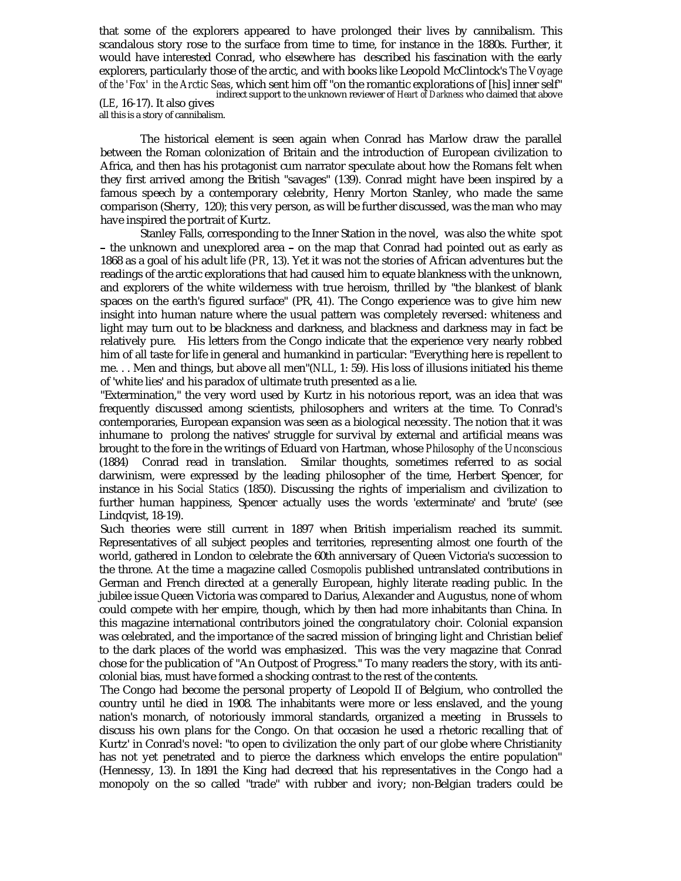that some of the explorers appeared to have prolonged their lives by cannibalism. This scandalous story rose to the surface from time to time, for instance in the 1880s. Further, it would have interested Conrad, who elsewhere has described his fascination with the early explorers, particularly those of the arctic, and with books like Leopold McClintock's *The Voyage of the 'Fox' in the Arctic Seas*, which sent him off "on the romantic explorations of [his] inner self" (*LE*, 16-17). It also gives indirect support to the unknown reviewer of *Heart of Darkness* who claimed that above all this is a story of cannibalism.

The historical element is seen again when Conrad has Marlow draw the parallel between the Roman colonization of Britain and the introduction of European civilization to Africa, and then has his protagonist cum narrator speculate about how the Romans felt when they first arrived among the British "savages" (139). Conrad might have been inspired by a famous speech by a contemporary celebrity, Henry Morton Stanley, who made the same comparison (Sherry, 120); this very person, as will be further discussed, was the man who may have inspired the portrait of Kurtz.

Stanley Falls, corresponding to the Inner Station in the novel, was also the white spot - the unknown and unexplored area - on the map that Conrad had pointed out as early as 1868 as a goal of his adult life (*PR*, 13). Yet it was not the stories of African adventures but the readings of the arctic explorations that had caused him to equate blankness with the unknown, and explorers of the white wilderness with true heroism, thrilled by "the blankest of blank spaces on the earth's figured surface" (PR, 41). The Congo experience was to give him new insight into human nature where the usual pattern was completely reversed: whiteness and light may turn out to be blackness and darkness, and blackness and darkness may in fact be relatively pure. His letters from the Congo indicate that the experience very nearly robbed him of all taste for life in general and humankind in particular: "Everything here is repellent to me. . . Men and things, but above all men"(*NLL*, 1: 59). His loss of illusions initiated his theme of 'white lies' and his paradox of ultimate truth presented as a lie.

"Extermination," the very word used by Kurtz in his notorious report, was an idea that was frequently discussed among scientists, philosophers and writers at the time. To Conrad's contemporaries, European expansion was seen as a biological necessity. The notion that it was inhumane to prolong the natives' struggle for survival by external and artificial means was brought to the fore in the writings of Eduard von Hartman, whose *Philosophy of the Unconscious* (1884) Conrad read in translation. Similar thoughts, sometimes referred to as social darwinism, were expressed by the leading philosopher of the time, Herbert Spencer, for instance in his *Social Statics* (1850). Discussing the rights of imperialism and civilization to further human happiness, Spencer actually uses the words 'exterminate' and 'brute' (see Lindqvist, 18-19).

Such theories were still current in 1897 when British imperialism reached its summit. Representatives of all subject peoples and territories, representing almost one fourth of the world, gathered in London to celebrate the 60th anniversary of Queen Victoria's succession to the throne. At the time a magazine called *Cosmopolis* published untranslated contributions in German and French directed at a generally European, highly literate reading public. In the jubilee issue Queen Victoria was compared to Darius, Alexander and Augustus, none of whom could compete with her empire, though, which by then had more inhabitants than China. In this magazine international contributors joined the congratulatory choir. Colonial expansion was celebrated, and the importance of the sacred mission of bringing light and Christian belief to the dark places of the world was emphasized. This was the very magazine that Conrad chose for the publication of "An Outpost of Progress." To many readers the story, with its anticolonial bias, must have formed a shocking contrast to the rest of the contents.

The Congo had become the personal property of Leopold II of Belgium, who controlled the country until he died in 1908. The inhabitants were more or less enslaved, and the young nation's monarch, of notoriously immoral standards, organized a meeting in Brussels to discuss his own plans for the Congo. On that occasion he used a rhetoric recalling that of Kurtz' in Conrad's novel: "to open to civilization the only part of our globe where Christianity has not yet penetrated and to pierce the darkness which envelops the entire population" (Hennessy, 13). In 1891 the King had decreed that his representatives in the Congo had a monopoly on the so called "trade" with rubber and ivory; non-Belgian traders could be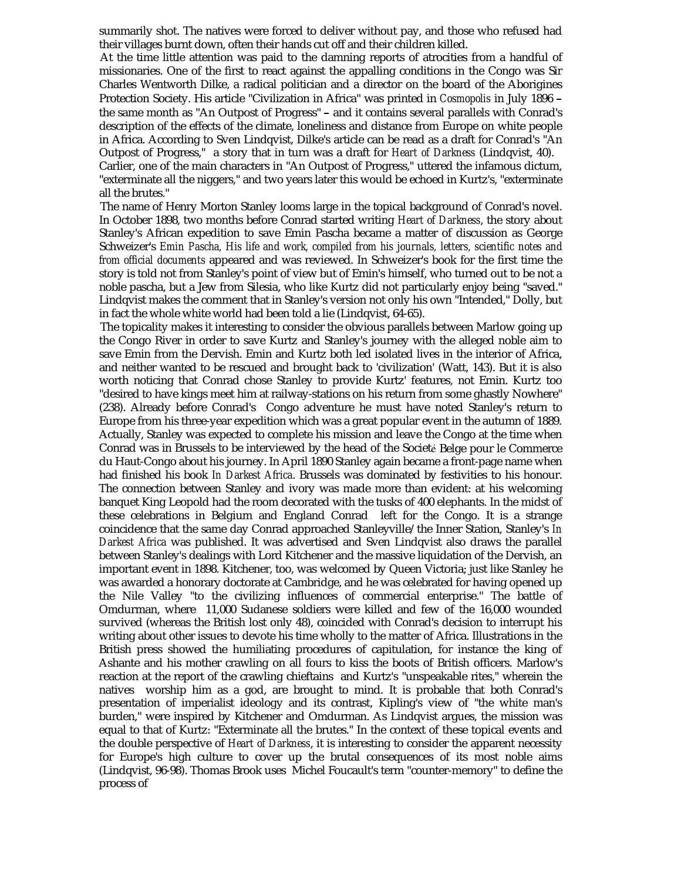summarily shot. The natives were forced to deliver without pay, and those who refused had their villages burnt down, often their hands cut off and their children killed.

At the time little attention was paid to the damning reports of atrocities from a handful of missionaries. One of the first to react against the appalling conditions in the Congo was Sir Charles Wentworth Dilke, a radical politician and a director on the board of the Aborigines Charles Wentworth Dilke, a radical politician and a director on the board of the Aborigines<br>Protection Society. His article "Civilization in Africa" was printed in *Cosmopolis* in July 1896 -Protection Society. His article "Civilization in Africa" was printed in *Cosmopolis* in July 1896 –<br>the same month as "An Outpost of Progress" – and it contains several parallels with Conrad's description of the effects of the climate, loneliness and distance from Europe on white people in Africa. According to Sven Lindqvist, Dilke's article can be read as a draft for Conrad's "An Outpost of Progress," a story that in turn was a draft for *Heart of Darkness* (Lindqvist, 40).

Carlier, one of the main characters in "An Outpost of Progress," uttered the infamous dictum, "exterminate all the niggers," and two years later this would be echoed in Kurtz's, "exterminate all the brutes."

The name of Henry Morton Stanley looms large in the topical background of Conrad's novel. In October 1898, two months before Conrad started writing *Heart of Darkness*, the story about Stanley's African expedition to save Emin Pascha became a matter of discussion as George Schweizer's *Emin Pascha, His life and work, compiled from his journals, letters, scientific notes and from official documents* appeared and was reviewed. In Schweizer's book for the first time the story is told not from Stanley's point of view but of Emin's himself, who turned out to be not a noble pascha, but a Jew from Silesia, who like Kurtz did not particularly enjoy being "saved." Lindqvist makes the comment that in Stanley's version not only his own "Intended," Dolly, but in fact the whole white world had been told a lie (Lindqvist, 64-65).

The topicality makes it interesting to consider the obvious parallels between Marlow going up the Congo River in order to save Kurtz and Stanley's journey with the alleged noble aim to save Emin from the Dervish. Emin and Kurtz both led isolated lives in the interior of Africa, and neither wanted to be rescued and brought back to 'civilization' (Watt, 143). But it is also worth noticing that Conrad chose Stanley to provide Kurtz' features, not Emin. Kurtz too "desired to have kings meet him at railway-stations on his return from some ghastly Nowhere" (238). Already before Conrad's Congo adventure he must have noted Stanley's return to Europe from his three-year expedition which was a great popular event in the autumn of 1889. Actually, Stanley was expected to complete his mission and leave the Congo at the time when Conrad was in Brussels to be interviewed by the head of the Societé Belge pour le Commerce du Haut-Congo about his journey. In April 1890 Stanley again became a front-page name when had finished his book *In Darkest Africa*. Brussels was dominated by festivities to his honour. The connection between Stanley and ivory was made more than evident: at his welcoming banquet King Leopold had the room decorated with the tusks of 400 elephants. In the midst of these celebrations in Belgium and England Conrad left for the Congo. It is a strange coincidence that the same day Conrad approached Stanleyville/the Inner Station, Stanley's *In Darkest Africa* was published. It was advertised and Sven Lindqvist also draws the parallel between Stanley's dealings with Lord Kitchener and the massive liquidation of the Dervish, an important event in 1898. Kitchener, too, was welcomed by Queen Victoria; just like Stanley he was awarded a honorary doctorate at Cambridge, and he was celebrated for having opened up the Nile Valley "to the civilizing influences of commercial enterprise." The battle of Omdurman, where 11,000 Sudanese soldiers were killed and few of the 16,000 wounded survived (whereas the British lost only 48), coincided with Conrad's decision to interrupt his writing about other issues to devote his time wholly to the matter of Africa. Illustrations in the British press showed the humiliating procedures of capitulation, for instance the king of Ashante and his mother crawling on all fours to kiss the boots of British officers. Marlow's reaction at the report of the crawling chieftains and Kurtz's "unspeakable rites," wherein the natives worship him as a god, are brought to mind. It is probable that both Conrad's presentation of imperialist ideology and its contrast, Kipling's view of "the white man's burden," were inspired by Kitchener and Omdurman. As Lindqvist argues, the mission was equal to that of Kurtz: "Exterminate all the brutes." In the context of these topical events and the double perspective of *Heart of Darkness*, it is interesting to consider the apparent necessity for Europe's high culture to cover up the brutal consequences of its most noble aims (Lindqvist, 96-98). Thomas Brook uses Michel Foucault's term "counter-memory" to define the process of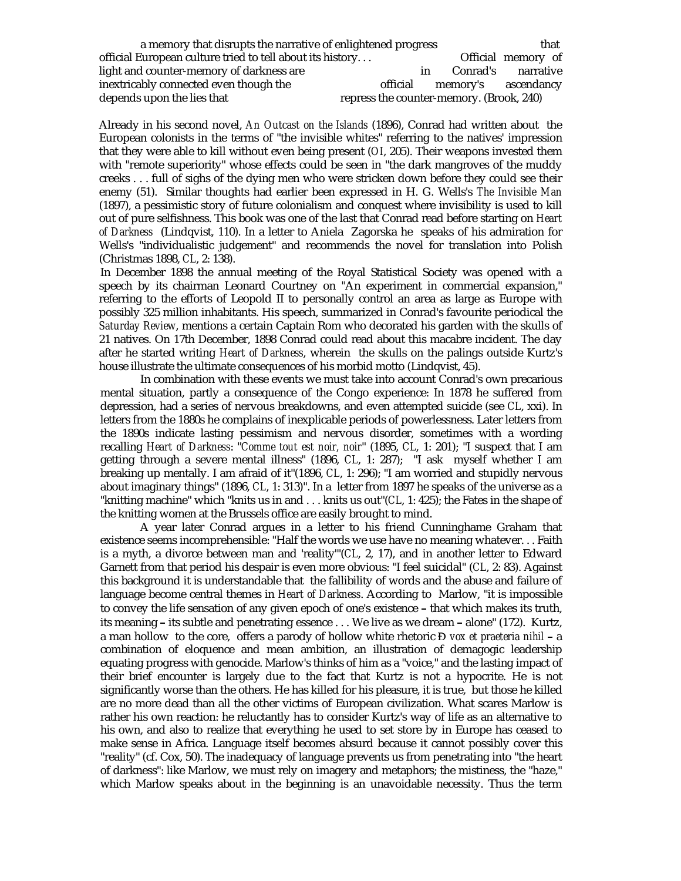| a memory that disrupts the narrative of enlightened progress |                                          |     | that                |                    |
|--------------------------------------------------------------|------------------------------------------|-----|---------------------|--------------------|
| official European culture tried to tell about its history    |                                          |     |                     | Official memory of |
| light and counter-memory of darkness are                     |                                          | in. |                     | Conrad's narrative |
| inextricably connected even though the                       | official                                 |     | memory's ascendancy |                    |
| depends upon the lies that                                   | repress the counter-memory. (Brook, 240) |     |                     |                    |

Already in his second novel, *An Outcast on the Islands* (1896), Conrad had written about the European colonists in the terms of "the invisible whites" referring to the natives' impression that they were able to kill without even being present (*OI*, 205). Their weapons invested them with "remote superiority" whose effects could be seen in "the dark mangroves of the muddy creeks . . . full of sighs of the dying men who were stricken down before they could see their enemy (51). Similar thoughts had earlier been expressed in H. G. Wells's *The Invisible Man* (1897), a pessimistic story of future colonialism and conquest where invisibility is used to kill out of pure selfishness. This book was one of the last that Conrad read before starting on *Heart of Darkness* (Lindqvist, 110). In a letter to Aniela Zagorska he speaks of his admiration for Wells's "individualistic judgement" and recommends the novel for translation into Polish (Christmas 1898, *CL*, 2: 138).

In December 1898 the annual meeting of the Royal Statistical Society was opened with a speech by its chairman Leonard Courtney on "An experiment in commercial expansion," referring to the efforts of Leopold II to personally control an area as large as Europe with possibly 325 million inhabitants. His speech, summarized in Conrad's favourite periodical the *Saturday Review*, mentions a certain Captain Rom who decorated his garden with the skulls of 21 natives. On 17th December, 1898 Conrad could read about this macabre incident. The day after he started writing *Heart of Darkness*, wherein the skulls on the palings outside Kurtz's house illustrate the ultimate consequences of his morbid motto (Lindqvist, 45).

In combination with these events we must take into account Conrad's own precarious mental situation, partly a consequence of the Congo experience: In 1878 he suffered from depression, had a series of nervous breakdowns, and even attempted suicide (see *CL*, xxi). In letters from the 1880s he complains of inexplicable periods of powerlessness. Later letters from the 1890s indicate lasting pessimism and nervous disorder, sometimes with a wording recalling *Heart of Darkness*: "*Comme tout est noir, noir*" (1895, *CL*, 1: 201); "I suspect that I am getting through a severe mental illness" (1896, *CL*, 1: 287); "I ask myself whether I am breaking up mentally. I am afraid of it"(1896, *CL*, 1: 296); "I am worried and stupidly nervous about imaginary things" (1896, *CL*, 1: 313)". In a letter from 1897 he speaks of the universe as a "knitting machine" which "knits us in and . . . knits us out"(*CL*, 1: 425); the Fates in the shape of the knitting women at the Brussels office are easily brought to mind.

A year later Conrad argues in a letter to his friend Cunninghame Graham that existence seems incomprehensible: "Half the words we use have no meaning whatever. . . Faith is a myth, a divorce between man and 'reality'"(*CL*, 2, 17), and in another letter to Edward Garnett from that period his despair is even more obvious: "I feel suicidal" (*CL*, 2: 83). Against this background it is understandable that the fallibility of words and the abuse and failure of language become central themes in *Heart of Darkness*. According to Marlow, "it is impossible to convey the life sensation of any given epoch of one's existence - that which makes its truth, its meaning - its subtle and penetrating essence . . . We live as we dream - alone" (172). Kurtz, a man hollow to the core, offers a parody of hollow white rhetoric *Đ vox et praeteria nihil* - a combination of eloquence and mean ambition, an illustration of demagogic leadership equating progress with genocide. Marlow's thinks of him as a "voice," and the lasting impact of their brief encounter is largely due to the fact that Kurtz is not a hypocrite. He is not significantly worse than the others. He has killed for his pleasure, it is true, but those he killed are no more dead than all the other victims of European civilization. What scares Marlow is rather his own reaction: he reluctantly has to consider Kurtz's way of life as an alternative to his own, and also to realize that everything he used to set store by in Europe has ceased to make sense in Africa. Language itself becomes absurd because it cannot possibly cover this "reality" (cf. Cox, 50). The inadequacy of language prevents us from penetrating into "the heart of darkness": like Marlow, we must rely on imagery and metaphors; the mistiness, the "haze," which Marlow speaks about in the beginning is an unavoidable necessity. Thus the term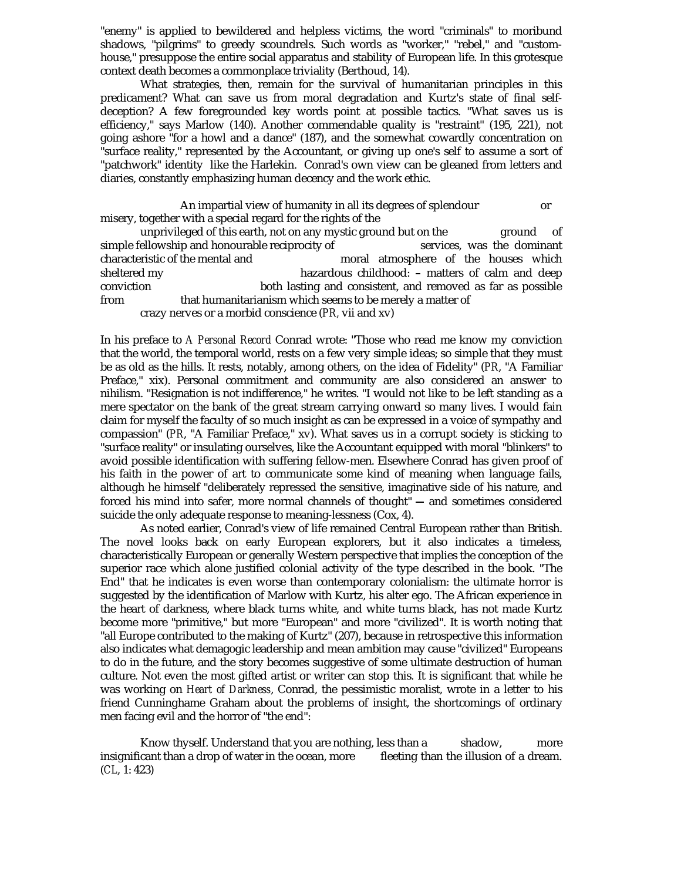"enemy" is applied to bewildered and helpless victims, the word "criminals" to moribund shadows, "pilgrims" to greedy scoundrels. Such words as "worker," "rebel," and "customhouse," presuppose the entire social apparatus and stability of European life. In this grotesque context death becomes a commonplace triviality (Berthoud, 14).

What strategies, then, remain for the survival of humanitarian principles in this predicament? What can save us from moral degradation and Kurtz's state of final selfdeception? A few foregrounded key words point at possible tactics. "What saves us is efficiency," says Marlow (140). Another commendable quality is "restraint" (195, 221), not going ashore "for a howl and a dance" (187), and the somewhat cowardly concentration on "surface reality," represented by the Accountant, or giving up one's self to assume a sort of "patchwork" identity like the Harlekin. Conrad's own view can be gleaned from letters and diaries, constantly emphasizing human decency and the work ethic.

An impartial view of humanity in all its degrees of splendour or misery, together with a special regard for the rights of the

unprivileged of this earth, not on any mystic ground but on the ground of ellowship and honourable reciprocity of services, was the dominant simple fellowship and honourable reciprocity of characteristic of the mental and moral atmosphere of the houses which sheltered my **hazardous** childhood: - matters of calm and deep conviction both lasting and consistent, and removed as far as possible from that humanitarianism which seems to be merely a matter of crazy nerves or a morbid conscience (*PR,* vii and xv)

In his preface to *A Personal Record* Conrad wrote: "Those who read me know my conviction that the world, the temporal world, rests on a few very simple ideas; so simple that they must be as old as the hills. It rests, notably, among others, on the idea of Fidelity" (*PR*, "A Familiar Preface," xix). Personal commitment and community are also considered an answer to nihilism. "Resignation is not indifference," he writes. "I would not like to be left standing as a mere spectator on the bank of the great stream carrying onward so many lives. I would fain claim for myself the faculty of so much insight as can be expressed in a voice of sympathy and compassion" (*PR*, "A Familiar Preface," xv). What saves us in a corrupt society is sticking to "surface reality" or insulating ourselves, like the Accountant equipped with moral "blinkers" to avoid possible identification with suffering fellow-men. Elsewhere Conrad has given proof of his faith in the power of art to communicate some kind of meaning when language fails, although he himself "deliberately repressed the sensitive, imaginative side of his nature, and forced his mind into safer, more normal channels of thought" - and sometimes considered suicide the only adequate response to meaning-lessness (Cox, 4).

As noted earlier, Conrad's view of life remained Central European rather than British. The novel looks back on early European explorers, but it also indicates a timeless, characteristically European or generally Western perspective that implies the conception of the superior race which alone justified colonial activity of the type described in the book. "The End" that he indicates is even worse than contemporary colonialism: the ultimate horror is suggested by the identification of Marlow with Kurtz, his alter ego. The African experience in the heart of darkness, where black turns white, and white turns black, has not made Kurtz become more "primitive," but more "European" and more "civilized". It is worth noting that "all Europe contributed to the making of Kurtz" (207), because in retrospective this information also indicates what demagogic leadership and mean ambition may cause "civilized" Europeans to do in the future, and the story becomes suggestive of some ultimate destruction of human culture. Not even the most gifted artist or writer can stop this. It is significant that while he was working on *Heart of Darkness*, Conrad, the pessimistic moralist, wrote in a letter to his friend Cunninghame Graham about the problems of insight, the shortcomings of ordinary men facing evil and the horror of "the end":

Know thyself. Understand that you are nothing, less than a shadow, more insignificant than a drop of water in the ocean, more fleeting than the illusion of a dream. (*CL*, 1: 423)